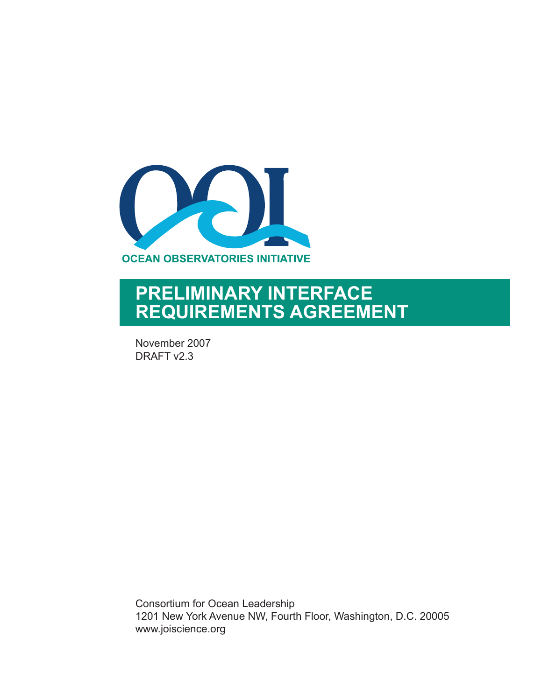

# **PRELIMINARY INTERFACE REQUIREMENTS AGREEMENT**

November 2007 DRAFT v2.3

Consortium for Ocean Leadership 1201 New York Avenue NW, Fourth Floor, Washington, D.C. 20005 www.joiscience.org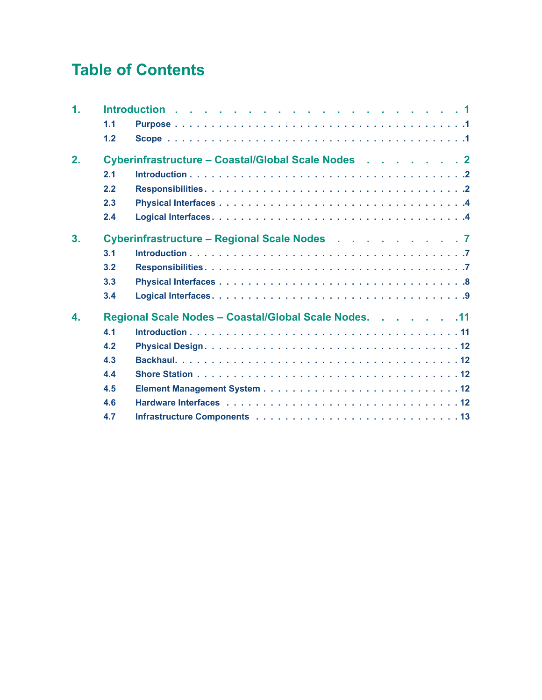# **Table of Contents**

| $\mathbf 1$ . |     |                                                       |
|---------------|-----|-------------------------------------------------------|
|               | 1.1 |                                                       |
|               | 1.2 |                                                       |
| 2.            |     | Cyberinfrastructure – Coastal/Global Scale Nodes 2    |
|               | 2.1 |                                                       |
|               | 2.2 |                                                       |
|               | 2.3 |                                                       |
|               | 2.4 |                                                       |
| 3.            |     | Cyberinfrastructure – Regional Scale Nodes 7          |
|               | 3.1 |                                                       |
|               | 3.2 |                                                       |
|               | 3.3 |                                                       |
|               | 3.4 |                                                       |
| 4.            |     | Regional Scale Nodes - Coastal/Global Scale Nodes. 11 |
|               | 4.1 |                                                       |
|               | 4.2 |                                                       |
|               | 4.3 |                                                       |
|               | 4.4 |                                                       |
|               | 4.5 |                                                       |
|               | 4.6 |                                                       |
|               | 4.7 |                                                       |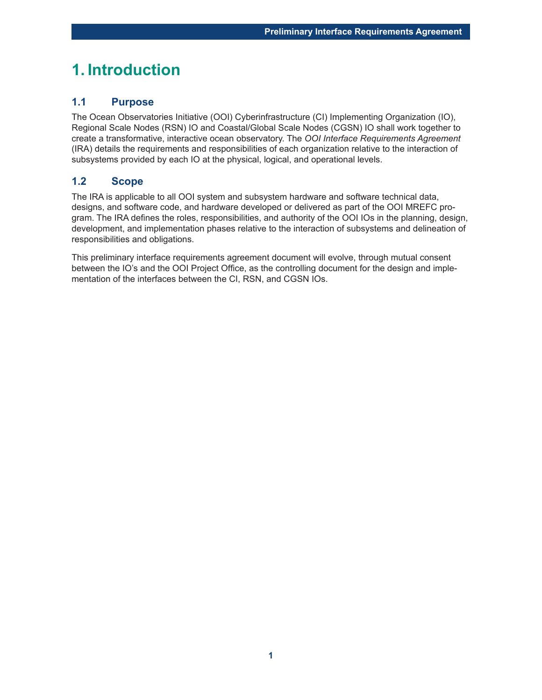### **1. Introduction**

#### **1.1 Purpose**

The Ocean Observatories Initiative (OOI) Cyberinfrastructure (CI) Implementing Organization (IO), Regional Scale Nodes (RSN) IO and Coastal/Global Scale Nodes (CGSN) IO shall work together to create a transformative, interactive ocean observatory. The *OOI Interface Requirements Agreement* (IRA) details the requirements and responsibilities of each organization relative to the interaction of subsystems provided by each IO at the physical, logical, and operational levels.

#### **1.2 Scope**

The IRA is applicable to all OOI system and subsystem hardware and software technical data, designs, and software code, and hardware developed or delivered as part of the OOI MREFC program. The IRA defines the roles, responsibilities, and authority of the OOI IOs in the planning, design, development, and implementation phases relative to the interaction of subsystems and delineation of responsibilities and obligations.

This preliminary interface requirements agreement document will evolve, through mutual consent between the IO's and the OOI Project Office, as the controlling document for the design and implementation of the interfaces between the CI, RSN, and CGSN IOs.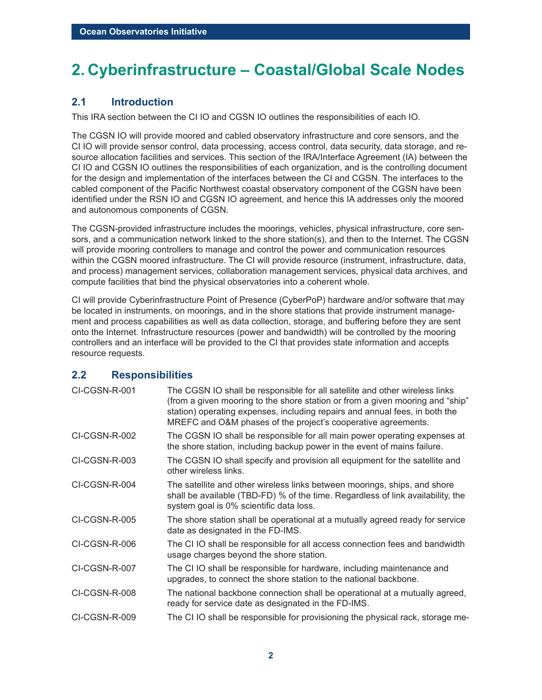# **2. Cyberinfrastructure – Coastal/Global Scale Nodes**

#### **2.1 Introduction**

This IRA section between the CI IO and CGSN IO outlines the responsibilities of each IO.

The CGSN IO will provide moored and cabled observatory infrastructure and core sensors, and the CI IO will provide sensor control, data processing, access control, data security, data storage, and resource allocation facilities and services. This section of the IRA/Interface Agreement (IA) between the CI IO and CGSN IO outlines the responsibilities of each organization, and is the controlling document for the design and implementation of the interfaces between the CI and CGSN. The interfaces to the cabled component of the Pacific Northwest coastal observatory component of the CGSN have been identified under the RSN IO and CGSN IO agreement, and hence this IA addresses only the moored and autonomous components of CGSN.

The CGSN-provided infrastructure includes the moorings, vehicles, physical infrastructure, core sensors, and a communication network linked to the shore station(s), and then to the Internet. The CGSN will provide mooring controllers to manage and control the power and communication resources within the CGSN moored infrastructure. The CI will provide resource (instrument, infrastructure, data, and process) management services, collaboration management services, physical data archives, and compute facilities that bind the physical observatories into a coherent whole.

CI will provide Cyberinfrastructure Point of Presence (CyberPoP) hardware and/or software that may be located in instruments, on moorings, and in the shore stations that provide instrument management and process capabilities as well as data collection, storage, and buffering before they are sent onto the Internet. Infrastructure resources (power and bandwidth) will be controlled by the mooring controllers and an interface will be provided to the CI that provides state information and accepts resource requests.

#### **2.2 Responsibilities**

| CI-CGSN-R-001 | The CGSN IO shall be responsible for all satellite and other wireless links<br>(from a given mooring to the shore station or from a given mooring and "ship"<br>station) operating expenses, including repairs and annual fees, in both the<br>MREFC and O&M phases of the project's cooperative agreements. |
|---------------|--------------------------------------------------------------------------------------------------------------------------------------------------------------------------------------------------------------------------------------------------------------------------------------------------------------|
| CI-CGSN-R-002 | The CGSN IO shall be responsible for all main power operating expenses at<br>the shore station, including backup power in the event of mains failure.                                                                                                                                                        |
| CI-CGSN-R-003 | The CGSN IO shall specify and provision all equipment for the satellite and<br>other wireless links.                                                                                                                                                                                                         |
| CI-CGSN-R-004 | The satellite and other wireless links between moorings, ships, and shore<br>shall be available (TBD-FD) % of the time. Regardless of link availability, the<br>system goal is 0% scientific data loss.                                                                                                      |
| CI-CGSN-R-005 | The shore station shall be operational at a mutually agreed ready for service<br>date as designated in the FD-IMS.                                                                                                                                                                                           |
| CI-CGSN-R-006 | The CI IO shall be responsible for all access connection fees and bandwidth<br>usage charges beyond the shore station.                                                                                                                                                                                       |
| CI-CGSN-R-007 | The CI IO shall be responsible for hardware, including maintenance and<br>upgrades, to connect the shore station to the national backbone.                                                                                                                                                                   |
| CI-CGSN-R-008 | The national backbone connection shall be operational at a mutually agreed,<br>ready for service date as designated in the FD-IMS.                                                                                                                                                                           |
| CI-CGSN-R-009 | The CI IO shall be responsible for provisioning the physical rack, storage me-                                                                                                                                                                                                                               |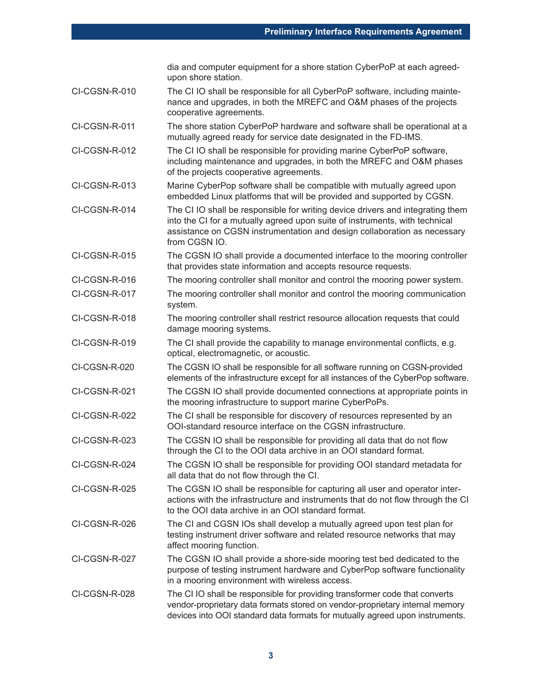dia and computer equipment for a shore station CyberPoP at each agreedupon shore station.

- CI-CGSN-R-010 The CI IO shall be responsible for all CyberPoP software, including maintenance and upgrades, in both the MREFC and O&M phases of the projects cooperative agreements.
- CI-CGSN-R-011 The shore station CyberPoP hardware and software shall be operational at a mutually agreed ready for service date designated in the FD-IMS.
- CI-CGSN-R-012 The CI IO shall be responsible for providing marine CyberPoP software, including maintenance and upgrades, in both the MREFC and O&M phases of the projects cooperative agreements.
- CI-CGSN-R-013 Marine CyberPop software shall be compatible with mutually agreed upon embedded Linux platforms that will be provided and supported by CGSN.
- CI-CGSN-R-014 The CI IO shall be responsible for writing device drivers and integrating them into the CI for a mutually agreed upon suite of instruments, with technical assistance on CGSN instrumentation and design collaboration as necessary from CGSN IO.
- CI-CGSN-R-015 The CGSN IO shall provide a documented interface to the mooring controller that provides state information and accepts resource requests.
- CI-CGSN-R-016 The mooring controller shall monitor and control the mooring power system.
- CI-CGSN-R-017 The mooring controller shall monitor and control the mooring communication system.
- CI-CGSN-R-018 The mooring controller shall restrict resource allocation requests that could damage mooring systems.
- CI-CGSN-R-019 The CI shall provide the capability to manage environmental conflicts, e.g. optical, electromagnetic, or acoustic.
- CI-CGSN-R-020 The CGSN IO shall be responsible for all software running on CGSN-provided elements of the infrastructure except for all instances of the CyberPop software.
- CI-CGSN-R-021 The CGSN IO shall provide documented connections at appropriate points in the mooring infrastructure to support marine CyberPoPs.
- CI-CGSN-R-022 The CI shall be responsible for discovery of resources represented by an OOI-standard resource interface on the CGSN infrastructure.
- CI-CGSN-R-023 The CGSN IO shall be responsible for providing all data that do not flow through the CI to the OOI data archive in an OOI standard format.
- CI-CGSN-R-024 The CGSN IO shall be responsible for providing OOI standard metadata for all data that do not flow through the CI.
- CI-CGSN-R-025 The CGSN IO shall be responsible for capturing all user and operator interactions with the infrastructure and instruments that do not flow through the CI to the OOI data archive in an OOI standard format.
- CI-CGSN-R-026 The CI and CGSN IOs shall develop a mutually agreed upon test plan for testing instrument driver software and related resource networks that may affect mooring function.
- CI-CGSN-R-027 The CGSN IO shall provide a shore-side mooring test bed dedicated to the purpose of testing instrument hardware and CyberPop software functionality in a mooring environment with wireless access.
- CI-CGSN-R-028 The CI IO shall be responsible for providing transformer code that converts vendor-proprietary data formats stored on vendor-proprietary internal memory devices into OOI standard data formats for mutually agreed upon instruments.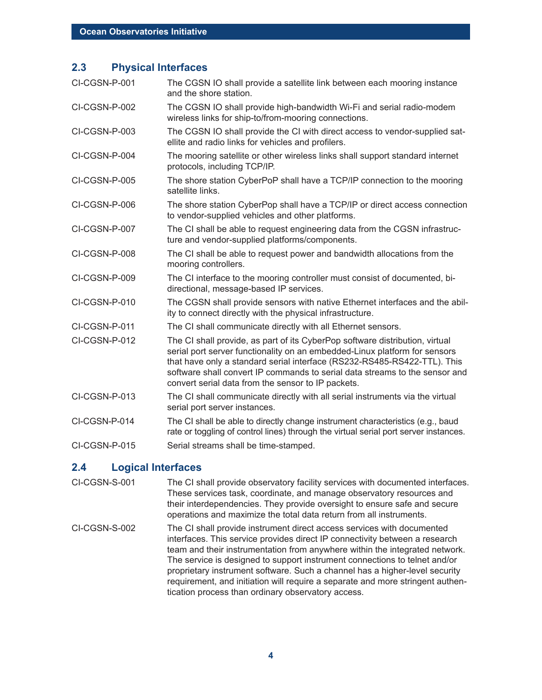#### **2.3 Physical Interfaces**

| CI-CGSN-P-001 | The CGSN IO shall provide a satellite link between each mooring instance<br>and the shore station.                                                                                                                                                                                                                                                                          |
|---------------|-----------------------------------------------------------------------------------------------------------------------------------------------------------------------------------------------------------------------------------------------------------------------------------------------------------------------------------------------------------------------------|
| CI-CGSN-P-002 | The CGSN IO shall provide high-bandwidth Wi-Fi and serial radio-modem<br>wireless links for ship-to/from-mooring connections.                                                                                                                                                                                                                                               |
| CI-CGSN-P-003 | The CGSN IO shall provide the CI with direct access to vendor-supplied sat-<br>ellite and radio links for vehicles and profilers.                                                                                                                                                                                                                                           |
| CI-CGSN-P-004 | The mooring satellite or other wireless links shall support standard internet<br>protocols, including TCP/IP.                                                                                                                                                                                                                                                               |
| CI-CGSN-P-005 | The shore station CyberPoP shall have a TCP/IP connection to the mooring<br>satellite links.                                                                                                                                                                                                                                                                                |
| CI-CGSN-P-006 | The shore station CyberPop shall have a TCP/IP or direct access connection<br>to vendor-supplied vehicles and other platforms.                                                                                                                                                                                                                                              |
| CI-CGSN-P-007 | The CI shall be able to request engineering data from the CGSN infrastruc-<br>ture and vendor-supplied platforms/components.                                                                                                                                                                                                                                                |
| CI-CGSN-P-008 | The CI shall be able to request power and bandwidth allocations from the<br>mooring controllers.                                                                                                                                                                                                                                                                            |
| CI-CGSN-P-009 | The CI interface to the mooring controller must consist of documented, bi-<br>directional, message-based IP services.                                                                                                                                                                                                                                                       |
| CI-CGSN-P-010 | The CGSN shall provide sensors with native Ethernet interfaces and the abil-<br>ity to connect directly with the physical infrastructure.                                                                                                                                                                                                                                   |
| CI-CGSN-P-011 | The CI shall communicate directly with all Ethernet sensors.                                                                                                                                                                                                                                                                                                                |
| CI-CGSN-P-012 | The CI shall provide, as part of its CyberPop software distribution, virtual<br>serial port server functionality on an embedded-Linux platform for sensors<br>that have only a standard serial interface (RS232-RS485-RS422-TTL). This<br>software shall convert IP commands to serial data streams to the sensor and<br>convert serial data from the sensor to IP packets. |
| CI-CGSN-P-013 | The CI shall communicate directly with all serial instruments via the virtual<br>serial port server instances.                                                                                                                                                                                                                                                              |
| CI-CGSN-P-014 | The CI shall be able to directly change instrument characteristics (e.g., baud<br>rate or toggling of control lines) through the virtual serial port server instances.                                                                                                                                                                                                      |
| CI-CGSN-P-015 | Serial streams shall be time-stamped.                                                                                                                                                                                                                                                                                                                                       |
|               |                                                                                                                                                                                                                                                                                                                                                                             |

#### **2.4 Logical Interfaces**

- CI-CGSN-S-001 The CI shall provide observatory facility services with documented interfaces. These services task, coordinate, and manage observatory resources and their interdependencies. They provide oversight to ensure safe and secure operations and maximize the total data return from all instruments.
- CI-CGSN-S-002 The CI shall provide instrument direct access services with documented interfaces. This service provides direct IP connectivity between a research team and their instrumentation from anywhere within the integrated network. The service is designed to support instrument connections to telnet and/or proprietary instrument software. Such a channel has a higher-level security requirement, and initiation will require a separate and more stringent authentication process than ordinary observatory access.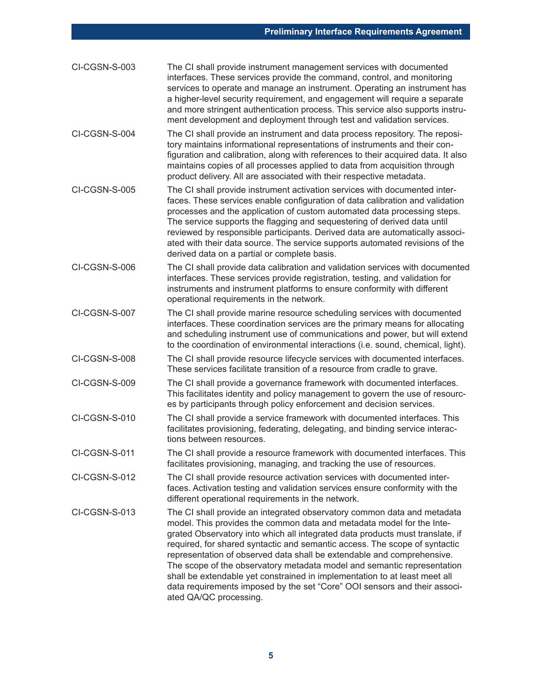| CI-CGSN-S-003 | The CI shall provide instrument management services with documented<br>interfaces. These services provide the command, control, and monitoring<br>services to operate and manage an instrument. Operating an instrument has<br>a higher-level security requirement, and engagement will require a separate<br>and more stringent authentication process. This service also supports instru-<br>ment development and deployment through test and validation services.                                                                                                                                                                                      |
|---------------|-----------------------------------------------------------------------------------------------------------------------------------------------------------------------------------------------------------------------------------------------------------------------------------------------------------------------------------------------------------------------------------------------------------------------------------------------------------------------------------------------------------------------------------------------------------------------------------------------------------------------------------------------------------|
| CI-CGSN-S-004 | The CI shall provide an instrument and data process repository. The reposi-<br>tory maintains informational representations of instruments and their con-<br>figuration and calibration, along with references to their acquired data. It also<br>maintains copies of all processes applied to data from acquisition through<br>product delivery. All are associated with their respective metadata.                                                                                                                                                                                                                                                      |
| CI-CGSN-S-005 | The CI shall provide instrument activation services with documented inter-<br>faces. These services enable configuration of data calibration and validation<br>processes and the application of custom automated data processing steps.<br>The service supports the flagging and sequestering of derived data until<br>reviewed by responsible participants. Derived data are automatically associ-<br>ated with their data source. The service supports automated revisions of the<br>derived data on a partial or complete basis.                                                                                                                       |
| CI-CGSN-S-006 | The CI shall provide data calibration and validation services with documented<br>interfaces. These services provide registration, testing, and validation for<br>instruments and instrument platforms to ensure conformity with different<br>operational requirements in the network.                                                                                                                                                                                                                                                                                                                                                                     |
| CI-CGSN-S-007 | The CI shall provide marine resource scheduling services with documented<br>interfaces. These coordination services are the primary means for allocating<br>and scheduling instrument use of communications and power, but will extend<br>to the coordination of environmental interactions (i.e. sound, chemical, light).                                                                                                                                                                                                                                                                                                                                |
| CI-CGSN-S-008 | The CI shall provide resource lifecycle services with documented interfaces.<br>These services facilitate transition of a resource from cradle to grave.                                                                                                                                                                                                                                                                                                                                                                                                                                                                                                  |
| CI-CGSN-S-009 | The CI shall provide a governance framework with documented interfaces.<br>This facilitates identity and policy management to govern the use of resourc-<br>es by participants through policy enforcement and decision services.                                                                                                                                                                                                                                                                                                                                                                                                                          |
| CI-CGSN-S-010 | The CI shall provide a service framework with documented interfaces. This<br>facilitates provisioning, federating, delegating, and binding service interac-<br>tions between resources.                                                                                                                                                                                                                                                                                                                                                                                                                                                                   |
| CI-CGSN-S-011 | The CI shall provide a resource framework with documented interfaces. This<br>facilitates provisioning, managing, and tracking the use of resources.                                                                                                                                                                                                                                                                                                                                                                                                                                                                                                      |
| CI-CGSN-S-012 | The CI shall provide resource activation services with documented inter-<br>faces. Activation testing and validation services ensure conformity with the<br>different operational requirements in the network.                                                                                                                                                                                                                                                                                                                                                                                                                                            |
| CI-CGSN-S-013 | The CI shall provide an integrated observatory common data and metadata<br>model. This provides the common data and metadata model for the Inte-<br>grated Observatory into which all integrated data products must translate, if<br>required, for shared syntactic and semantic access. The scope of syntactic<br>representation of observed data shall be extendable and comprehensive.<br>The scope of the observatory metadata model and semantic representation<br>shall be extendable yet constrained in implementation to at least meet all<br>data requirements imposed by the set "Core" OOI sensors and their associ-<br>ated QA/QC processing. |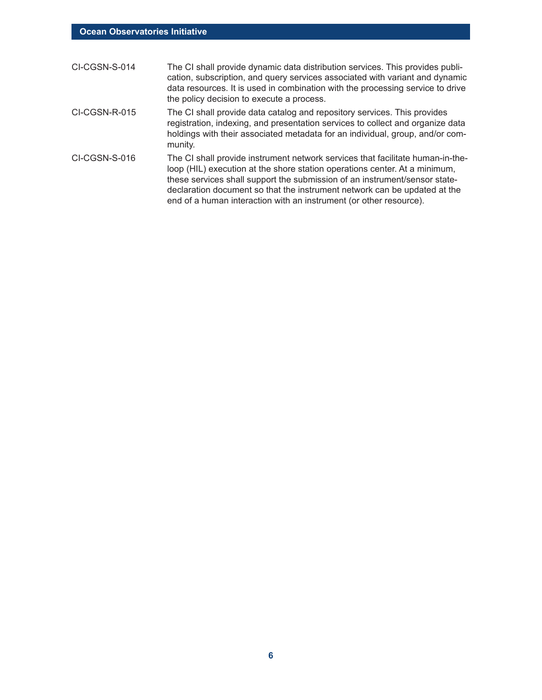| CI-CGSN-S-014 | The CI shall provide dynamic data distribution services. This provides publi-<br>cation, subscription, and query services associated with variant and dynamic<br>data resources. It is used in combination with the processing service to drive<br>the policy decision to execute a process.                                                                                                  |
|---------------|-----------------------------------------------------------------------------------------------------------------------------------------------------------------------------------------------------------------------------------------------------------------------------------------------------------------------------------------------------------------------------------------------|
| CI-CGSN-R-015 | The CI shall provide data catalog and repository services. This provides<br>registration, indexing, and presentation services to collect and organize data<br>holdings with their associated metadata for an individual, group, and/or com-<br>munity.                                                                                                                                        |
| CI-CGSN-S-016 | The CI shall provide instrument network services that facilitate human-in-the-<br>loop (HIL) execution at the shore station operations center. At a minimum,<br>these services shall support the submission of an instrument/sensor state-<br>declaration document so that the instrument network can be updated at the<br>end of a human interaction with an instrument (or other resource). |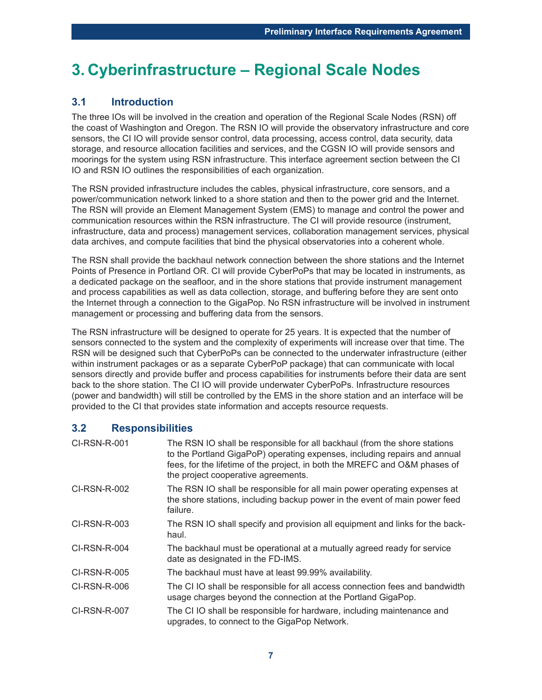## **3. Cyberinfrastructure – Regional Scale Nodes**

#### **3.1 Introduction**

The three IOs will be involved in the creation and operation of the Regional Scale Nodes (RSN) off the coast of Washington and Oregon. The RSN IO will provide the observatory infrastructure and core sensors, the CI IO will provide sensor control, data processing, access control, data security, data storage, and resource allocation facilities and services, and the CGSN IO will provide sensors and moorings for the system using RSN infrastructure. This interface agreement section between the CI IO and RSN IO outlines the responsibilities of each organization.

The RSN provided infrastructure includes the cables, physical infrastructure, core sensors, and a power/communication network linked to a shore station and then to the power grid and the Internet. The RSN will provide an Element Management System (EMS) to manage and control the power and communication resources within the RSN infrastructure. The CI will provide resource (instrument, infrastructure, data and process) management services, collaboration management services, physical data archives, and compute facilities that bind the physical observatories into a coherent whole.

The RSN shall provide the backhaul network connection between the shore stations and the Internet Points of Presence in Portland OR. CI will provide CyberPoPs that may be located in instruments, as a dedicated package on the seafloor, and in the shore stations that provide instrument management and process capabilities as well as data collection, storage, and buffering before they are sent onto the Internet through a connection to the GigaPop. No RSN infrastructure will be involved in instrument management or processing and buffering data from the sensors.

The RSN infrastructure will be designed to operate for 25 years. It is expected that the number of sensors connected to the system and the complexity of experiments will increase over that time. The RSN will be designed such that CyberPoPs can be connected to the underwater infrastructure (either within instrument packages or as a separate CyberPoP package) that can communicate with local sensors directly and provide buffer and process capabilities for instruments before their data are sent back to the shore station. The CI IO will provide underwater CyberPoPs. Infrastructure resources (power and bandwidth) will still be controlled by the EMS in the shore station and an interface will be provided to the CI that provides state information and accepts resource requests.

#### **3.2 Responsibilities**

| CI-RSN-R-001        | The RSN IO shall be responsible for all backhaul (from the shore stations<br>to the Portland GigaPoP) operating expenses, including repairs and annual<br>fees, for the lifetime of the project, in both the MREFC and O&M phases of<br>the project cooperative agreements. |
|---------------------|-----------------------------------------------------------------------------------------------------------------------------------------------------------------------------------------------------------------------------------------------------------------------------|
| CI-RSN-R-002        | The RSN IO shall be responsible for all main power operating expenses at<br>the shore stations, including backup power in the event of main power feed<br>failure.                                                                                                          |
| CI-RSN-R-003        | The RSN IO shall specify and provision all equipment and links for the back-<br>haul.                                                                                                                                                                                       |
| CI-RSN-R-004        | The backhaul must be operational at a mutually agreed ready for service<br>date as designated in the FD-IMS.                                                                                                                                                                |
| <b>CI-RSN-R-005</b> | The backhaul must have at least 99.99% availability.                                                                                                                                                                                                                        |
| CI-RSN-R-006        | The CI IO shall be responsible for all access connection fees and bandwidth<br>usage charges beyond the connection at the Portland GigaPop.                                                                                                                                 |
| CI-RSN-R-007        | The CIIO shall be responsible for hardware, including maintenance and<br>upgrades, to connect to the GigaPop Network.                                                                                                                                                       |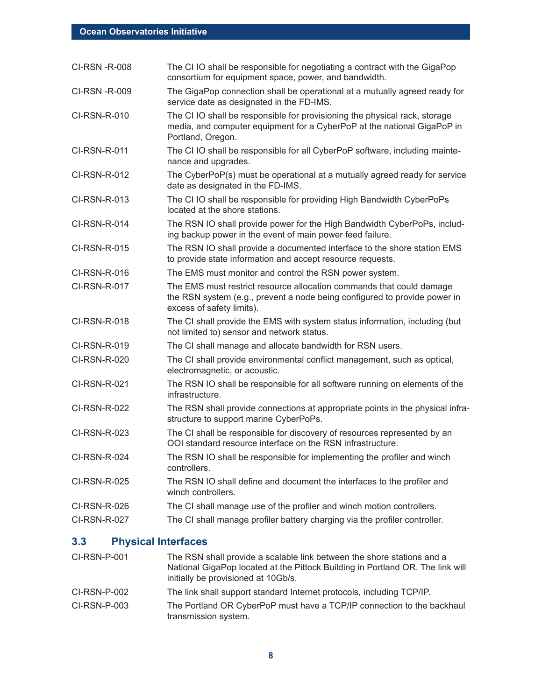| <b>CI-RSN -R-008</b> | The CI IO shall be responsible for negotiating a contract with the GigaPop<br>consortium for equipment space, power, and bandwidth.                                            |
|----------------------|--------------------------------------------------------------------------------------------------------------------------------------------------------------------------------|
| CI-RSN -R-009        | The GigaPop connection shall be operational at a mutually agreed ready for<br>service date as designated in the FD-IMS.                                                        |
| CI-RSN-R-010         | The CI IO shall be responsible for provisioning the physical rack, storage<br>media, and computer equipment for a CyberPoP at the national GigaPoP in<br>Portland, Oregon.     |
| <b>CI-RSN-R-011</b>  | The CI IO shall be responsible for all CyberPoP software, including mainte-<br>nance and upgrades.                                                                             |
| CI-RSN-R-012         | The CyberPoP(s) must be operational at a mutually agreed ready for service<br>date as designated in the FD-IMS.                                                                |
| CI-RSN-R-013         | The CI IO shall be responsible for providing High Bandwidth CyberPoPs<br>located at the shore stations.                                                                        |
| CI-RSN-R-014         | The RSN IO shall provide power for the High Bandwidth CyberPoPs, includ-<br>ing backup power in the event of main power feed failure.                                          |
| <b>CI-RSN-R-015</b>  | The RSN IO shall provide a documented interface to the shore station EMS<br>to provide state information and accept resource requests.                                         |
| CI-RSN-R-016         | The EMS must monitor and control the RSN power system.                                                                                                                         |
| <b>CI-RSN-R-017</b>  | The EMS must restrict resource allocation commands that could damage<br>the RSN system (e.g., prevent a node being configured to provide power in<br>excess of safety limits). |
| CI-RSN-R-018         | The CI shall provide the EMS with system status information, including (but<br>not limited to) sensor and network status.                                                      |
| CI-RSN-R-019         | The CI shall manage and allocate bandwidth for RSN users.                                                                                                                      |
| <b>CI-RSN-R-020</b>  | The CI shall provide environmental conflict management, such as optical,<br>electromagnetic, or acoustic.                                                                      |
| CI-RSN-R-021         | The RSN IO shall be responsible for all software running on elements of the<br>infrastructure.                                                                                 |
| <b>CI-RSN-R-022</b>  | The RSN shall provide connections at appropriate points in the physical infra-<br>structure to support marine CyberPoPs.                                                       |
| CI-RSN-R-023         | The CI shall be responsible for discovery of resources represented by an<br>OOI standard resource interface on the RSN infrastructure.                                         |
| CI-RSN-R-024         | The RSN IO shall be responsible for implementing the profiler and winch<br>controllers.                                                                                        |
| CI-RSN-R-025         | The RSN IO shall define and document the interfaces to the profiler and<br>winch controllers.                                                                                  |
| CI-RSN-R-026         | The CI shall manage use of the profiler and winch motion controllers.                                                                                                          |
| CI-RSN-R-027         | The CI shall manage profiler battery charging via the profiler controller.                                                                                                     |

### **3.3 Physical Interfaces**

| CI-RSN-P-001   | The RSN shall provide a scalable link between the shore stations and a<br>National GigaPop located at the Pittock Building in Portland OR. The link will<br>initially be provisioned at 10Gb/s. |
|----------------|-------------------------------------------------------------------------------------------------------------------------------------------------------------------------------------------------|
| CI-RSN-P-002   | The link shall support standard Internet protocols, including TCP/IP.                                                                                                                           |
| $CI-RSN-P-003$ | The Portland OR CyberPoP must have a TCP/IP connection to the backhaul<br>transmission system.                                                                                                  |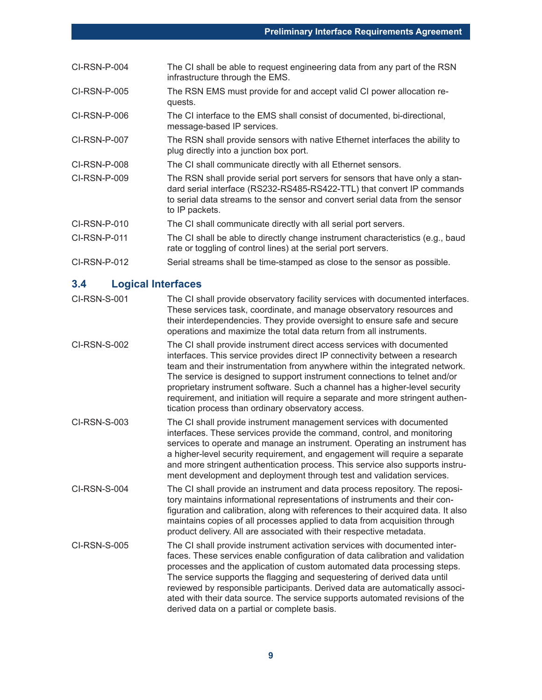| $CI-RSN-P-004$ | The CI shall be able to request engineering data from any part of the RSN<br>infrastructure through the EMS.                                                                                                                                             |
|----------------|----------------------------------------------------------------------------------------------------------------------------------------------------------------------------------------------------------------------------------------------------------|
| CI-RSN-P-005   | The RSN EMS must provide for and accept valid CI power allocation re-<br>quests.                                                                                                                                                                         |
| CI-RSN-P-006   | The CI interface to the EMS shall consist of documented, bi-directional,<br>message-based IP services.                                                                                                                                                   |
| CI-RSN-P-007   | The RSN shall provide sensors with native Ethernet interfaces the ability to<br>plug directly into a junction box port.                                                                                                                                  |
| CI-RSN-P-008   | The CI shall communicate directly with all Ethernet sensors.                                                                                                                                                                                             |
| $CI-RSN-P-009$ | The RSN shall provide serial port servers for sensors that have only a stan-<br>dard serial interface (RS232-RS485-RS422-TTL) that convert IP commands<br>to serial data streams to the sensor and convert serial data from the sensor<br>to IP packets. |
| CI-RSN-P-010   | The CI shall communicate directly with all serial port servers.                                                                                                                                                                                          |
| CI-RSN-P-011   | The CI shall be able to directly change instrument characteristics (e.g., baud<br>rate or toggling of control lines) at the serial port servers.                                                                                                         |
| CI-RSN-P-012   | Serial streams shall be time-stamped as close to the sensor as possible.                                                                                                                                                                                 |

### **3.4 Logical Interfaces**

| CI-RSN-S-001        | The CI shall provide observatory facility services with documented interfaces.<br>These services task, coordinate, and manage observatory resources and<br>their interdependencies. They provide oversight to ensure safe and secure<br>operations and maximize the total data return from all instruments.                                                                                                                                                                                                                               |
|---------------------|-------------------------------------------------------------------------------------------------------------------------------------------------------------------------------------------------------------------------------------------------------------------------------------------------------------------------------------------------------------------------------------------------------------------------------------------------------------------------------------------------------------------------------------------|
| CI-RSN-S-002        | The CI shall provide instrument direct access services with documented<br>interfaces. This service provides direct IP connectivity between a research<br>team and their instrumentation from anywhere within the integrated network.<br>The service is designed to support instrument connections to telnet and/or<br>proprietary instrument software. Such a channel has a higher-level security<br>requirement, and initiation will require a separate and more stringent authen-<br>tication process than ordinary observatory access. |
| CI-RSN-S-003        | The CI shall provide instrument management services with documented<br>interfaces. These services provide the command, control, and monitoring<br>services to operate and manage an instrument. Operating an instrument has<br>a higher-level security requirement, and engagement will require a separate<br>and more stringent authentication process. This service also supports instru-<br>ment development and deployment through test and validation services.                                                                      |
| CI-RSN-S-004        | The CI shall provide an instrument and data process repository. The reposi-<br>tory maintains informational representations of instruments and their con-<br>figuration and calibration, along with references to their acquired data. It also<br>maintains copies of all processes applied to data from acquisition through<br>product delivery. All are associated with their respective metadata.                                                                                                                                      |
| <b>CI-RSN-S-005</b> | The CI shall provide instrument activation services with documented inter-<br>faces. These services enable configuration of data calibration and validation<br>processes and the application of custom automated data processing steps.<br>The service supports the flagging and sequestering of derived data until<br>reviewed by responsible participants. Derived data are automatically associ-<br>ated with their data source. The service supports automated revisions of the<br>derived data on a partial or complete basis.       |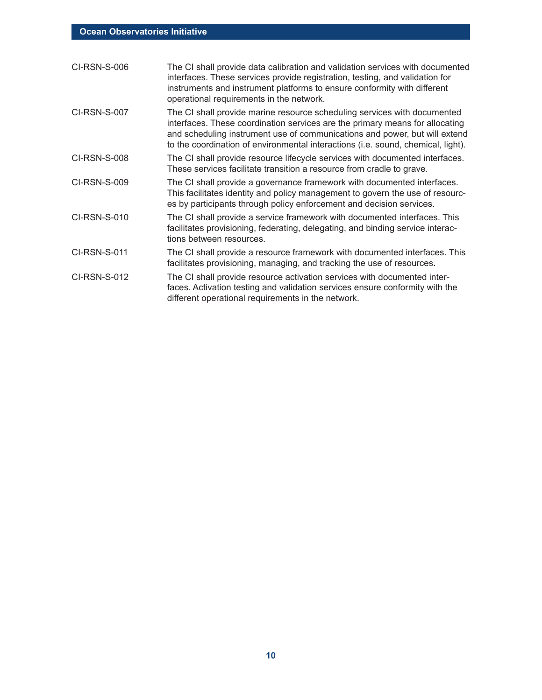| The CI shall provide data calibration and validation services with documented<br>interfaces. These services provide registration, testing, and validation for<br>instruments and instrument platforms to ensure conformity with different<br>operational requirements in the network.                                      |
|----------------------------------------------------------------------------------------------------------------------------------------------------------------------------------------------------------------------------------------------------------------------------------------------------------------------------|
| The CI shall provide marine resource scheduling services with documented<br>interfaces. These coordination services are the primary means for allocating<br>and scheduling instrument use of communications and power, but will extend<br>to the coordination of environmental interactions (i.e. sound, chemical, light). |
| The CI shall provide resource lifecycle services with documented interfaces.<br>These services facilitate transition a resource from cradle to grave.                                                                                                                                                                      |
| The CI shall provide a governance framework with documented interfaces.<br>This facilitates identity and policy management to govern the use of resourc-<br>es by participants through policy enforcement and decision services.                                                                                           |
| The CI shall provide a service framework with documented interfaces. This<br>facilitates provisioning, federating, delegating, and binding service interac-<br>tions between resources.                                                                                                                                    |
| The CI shall provide a resource framework with documented interfaces. This<br>facilitates provisioning, managing, and tracking the use of resources.                                                                                                                                                                       |
| The CI shall provide resource activation services with documented inter-<br>faces. Activation testing and validation services ensure conformity with the<br>different operational requirements in the network.                                                                                                             |
|                                                                                                                                                                                                                                                                                                                            |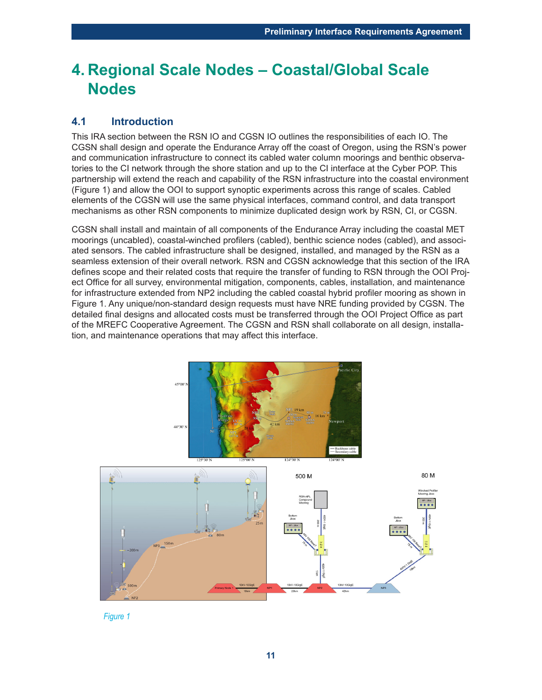## **4. Regional Scale Nodes – Coastal/Global Scale Nodes**

#### **4.1 Introduction**

This IRA section between the RSN IO and CGSN IO outlines the responsibilities of each IO. The CGSN shall design and operate the Endurance Array off the coast of Oregon, using the RSN's power and communication infrastructure to connect its cabled water column moorings and benthic observatories to the CI network through the shore station and up to the CI interface at the Cyber POP. This partnership will extend the reach and capability of the RSN infrastructure into the coastal environment (Figure 1) and allow the OOI to support synoptic experiments across this range of scales. Cabled elements of the CGSN will use the same physical interfaces, command control, and data transport mechanisms as other RSN components to minimize duplicated design work by RSN, CI, or CGSN.

CGSN shall install and maintain of all components of the Endurance Array including the coastal MET moorings (uncabled), coastal-winched profilers (cabled), benthic science nodes (cabled), and associated sensors. The cabled infrastructure shall be designed, installed, and managed by the RSN as a seamless extension of their overall network. RSN and CGSN acknowledge that this section of the IRA defines scope and their related costs that require the transfer of funding to RSN through the OOI Project Office for all survey, environmental mitigation, components, cables, installation, and maintenance for infrastructure extended from NP2 including the cabled coastal hybrid profiler mooring as shown in Figure 1. Any unique/non-standard design requests must have NRE funding provided by CGSN. The detailed final designs and allocated costs must be transferred through the OOI Project Office as part of the MREFC Cooperative Agreement. The CGSN and RSN shall collaborate on all design, installation, and maintenance operations that may affect this interface.



*Figure 1*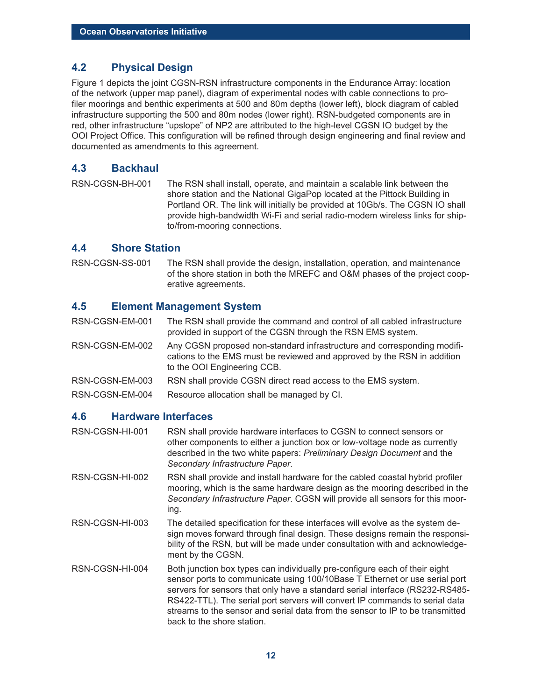#### **4.2 Physical Design**

Figure 1 depicts the joint CGSN-RSN infrastructure components in the Endurance Array: location of the network (upper map panel), diagram of experimental nodes with cable connections to profiler moorings and benthic experiments at 500 and 80m depths (lower left), block diagram of cabled infrastructure supporting the 500 and 80m nodes (lower right). RSN-budgeted components are in red, other infrastructure "upslope" of NP2 are attributed to the high-level CGSN IO budget by the OOI Project Office. This configuration will be refined through design engineering and final review and documented as amendments to this agreement.

#### **4.3 Backhaul**

RSN-CGSN-BH-001 The RSN shall install, operate, and maintain a scalable link between the shore station and the National GigaPop located at the Pittock Building in Portland OR. The link will initially be provided at 10Gb/s. The CGSN IO shall provide high-bandwidth Wi-Fi and serial radio-modem wireless links for shipto/from-mooring connections.

#### **4.4 Shore Station**

RSN-CGSN-SS-001 The RSN shall provide the design, installation, operation, and maintenance of the shore station in both the MREFC and O&M phases of the project cooperative agreements.

#### **4.5 Element Management System**

RSN-CGSN-EM-001 The RSN shall provide the command and control of all cabled infrastructure provided in support of the CGSN through the RSN EMS system.

RSN-CGSN-EM-002 Any CGSN proposed non-standard infrastructure and corresponding modifications to the EMS must be reviewed and approved by the RSN in addition to the OOI Engineering CCB.

RSN-CGSN-EM-003 RSN shall provide CGSN direct read access to the EMS system.

RSN-CGSN-EM-004 Resource allocation shall be managed by CI.

#### **4.6 Hardware Interfaces**

RSN-CGSN-HI-001 RSN shall provide hardware interfaces to CGSN to connect sensors or other components to either a junction box or low-voltage node as currently described in the two white papers: *Preliminary Design Document* and the *Secondary Infrastructure Paper*.

RSN-CGSN-HI-002 RSN shall provide and install hardware for the cabled coastal hybrid profiler mooring, which is the same hardware design as the mooring described in the *Secondary Infrastructure Paper*. CGSN will provide all sensors for this mooring.

- RSN-CGSN-HI-003 The detailed specification for these interfaces will evolve as the system design moves forward through final design. These designs remain the responsibility of the RSN, but will be made under consultation with and acknowledgement by the CGSN.
- RSN-CGSN-HI-004 Both junction box types can individually pre-configure each of their eight sensor ports to communicate using 100/10Base T Ethernet or use serial port servers for sensors that only have a standard serial interface (RS232-RS485- RS422-TTL). The serial port servers will convert IP commands to serial data streams to the sensor and serial data from the sensor to IP to be transmitted back to the shore station.